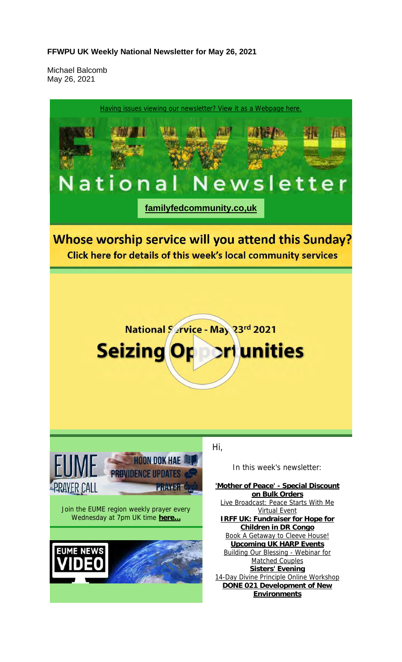#### **FFWPU UK Weekly National Newsletter for May 26, 2021**

Michael Balcomb May 26, 2021

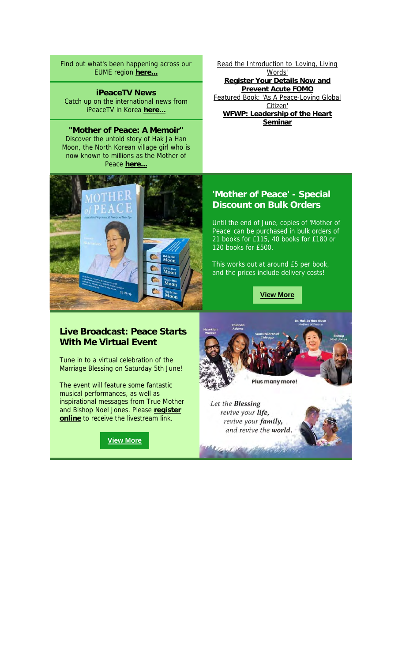Find out what's been happening across our EUME region **here...**

**iPeaceTV News** Catch up on the international news from iPeaceTV in Korea **here...**

**"Mother of Peace: A Memoir"** Discover the untold story of Hak Ja Han Moon, the North Korean village girl who is now known to millions as the Mother of Peace here.



Read the Introduction to 'Loving, Living Words' **Register Your Details Now and Prevent Acute FOMO** Featured Book: 'As A Peace-Loving Global Citizen' **WFWP: Leadership of the Heart Seminar**

# **'Mother of Peace' - Special Discount on Bulk Orders**

Until the end of June, copies of 'Mother of Peace' can be purchased in bulk orders of 21 books for £115, 40 books for £180 or 120 books for £500.

This works out at around £5 per book, and the prices include delivery costs!

**View More**

#### **Live Broadcast: Peace Starts With Me Virtual Event**

Tune in to a virtual celebration of the Marriage Blessing on Saturday 5th June!

The event will feature some fantastic musical performances, as well as inspirational messages from True Mother and Bishop Noel Jones. Please **register online** to receive the livestream link.

**View More**



Let the Blessing revive your life, revive your family, and revive the world.

**WELLING PROPERTY**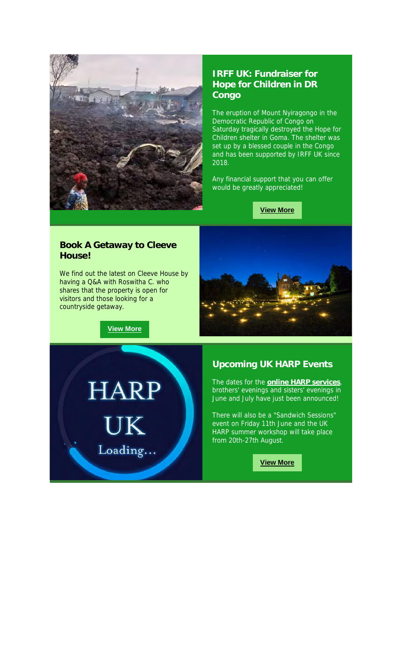

## **IRFF UK: Fundraiser for Hope for Children in DR Congo**

The eruption of Mount Nyiragongo in the Democratic Republic of Congo on Saturday tragically destroyed the Hope for Children shelter in Goma. The shelter was set up by a blessed couple in the Congo and has been supported by IRFF UK since 2018.

Any financial support that you can offer would be greatly appreciated!

**View More**

#### **Book A Getaway to Cleeve House!**

We find out the latest on Cleeve House by having a Q&A with Roswitha C. who shares that the property is open for visitors and those looking for a countryside getaway.



**View More**

**HARP** UK Loading...

## **Upcoming UK HARP Events**

The dates for the **online HARP services**, brothers' evenings and sisters' evenings in June and July have just been announced!

There will also be a "Sandwich Sessions" event on Friday 11th June and the UK HARP summer workshop will take place from 20th-27th August.

**View More**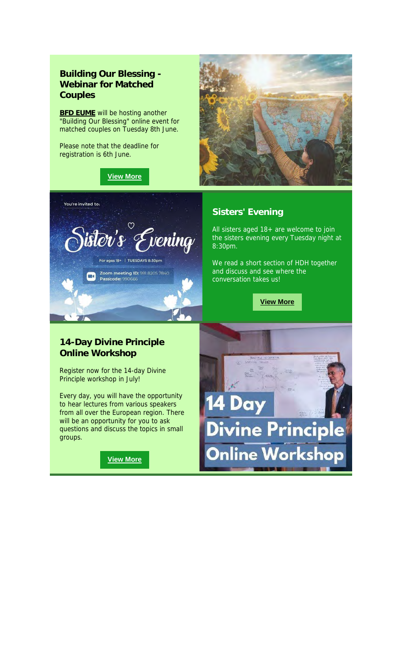# **Building Our Blessing - Webinar for Matched Couples**

**BFD EUME** will be hosting another "Building Our Blessing" online event for matched couples on Tuesday 8th June.

Please note that the deadline for registration is 6th June.

You're invited to:

 $\blacksquare$ 

#### **View More**

 $\heartsuit$ 

For ages 18+ | TUESDAYS 8:30pm

**Zoom meeting ID:** 991 8205 7840<br>**Passcode:** 990666

dv's Evening



# **Sisters' Evening**

All sisters aged 18+ are welcome to join the sisters evening every Tuesday night at 8:30pm.

We read a short section of HDH together and discuss and see where the conversation takes us!

**View More**



#### **14-Day Divine Principle Online Workshop**

Register now for the 14-day Divine Principle workshop in July!

Every day, you will have the opportunity to hear lectures from various speakers from all over the European region. There will be an opportunity for you to ask questions and discuss the topics in small groups.

**View More**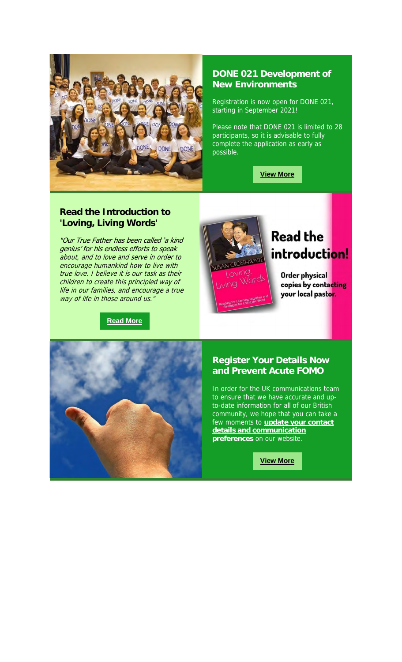

# **DONE 021 Development of New Environments**

Registration is now open for DONE 021, starting in September 2021!

Please note that DONE 021 is limited to 28 participants, so it is advisable to fully complete the application as early as possible.

**View More**

## **Read the Introduction to 'Loving, Living Words'**

"Our True Father has been called 'a kind genius' for his endless efforts to speak about, and to love and serve in order to encourage humankind how to live with true love. I believe it is our task as their children to create this principled way of life in our families, and encourage a true way of life in those around us.

#### **Read More**



# **Read the** introduction!

Order physical copies by contacting your local pastor.



#### **Register Your Details Now and Prevent Acute FOMO**

In order for the UK communications team to ensure that we have accurate and upto-date information for all of our British community, we hope that you can take a few moments to **update your contact details and communication preferences** on our website.

**View More**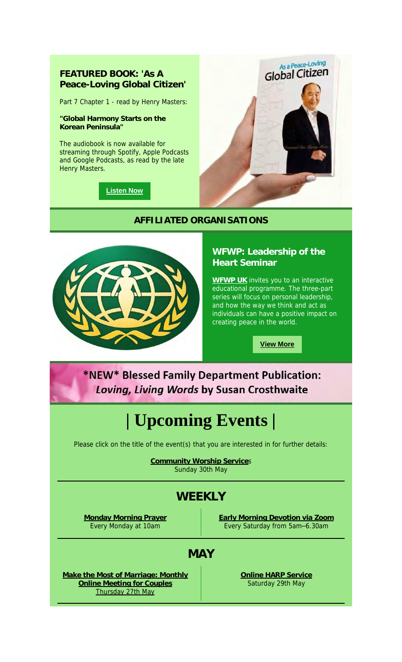# **FEATURED BOOK: 'As A Peace-Loving Global Citizen'**

Part 7 Chapter 1 - read by Henry Masters:

**"Global Harmony Starts on the Korean Peninsula"**

The audiobook is now available for streaming through Spotify, Apple Podcasts and Google Podcasts, as read by the late Henry Masters.

**Listen Now**



# **AFFILIATED ORGANISATIONS**



# **WFWP: Leadership of the Heart Seminar**

**WFWP UK** invites you to an interactive educational programme. The three-part series will focus on personal leadership, and how the way we think and act as individuals can have a positive impact on creating peace in the world.

**View More**

# \*NEW\* Blessed Family Department Publication: Loving, Living Words by Susan Crosthwaite

# **| Upcoming Events |**

Please click on the title of the event(s) that you are interested in for further details:

**Community Worship Service**s Sunday 30th May

# **WEEKLY**

**Monday Morning Prayer** Every Monday at 10am

**Early Morning Devotion via Zoom** Every Saturday from 5am–6.30am

# **MAY**

**Make the Most of Marriage: Monthly Online Meeting for Couples** Thursday 27th May

**Online HARP Service** Saturday 29th May